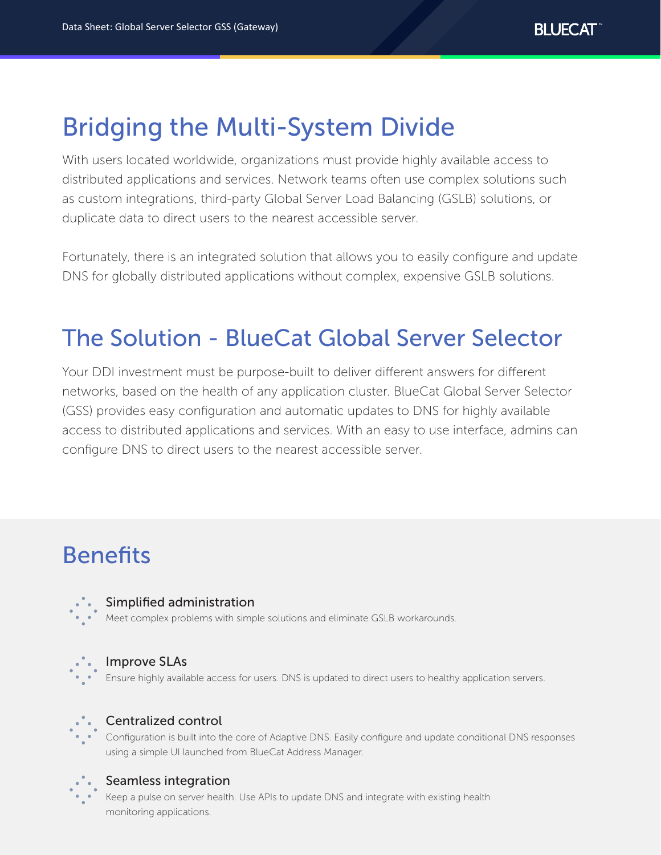# Bridging the Multi-System Divide

With users located worldwide, organizations must provide highly available access to distributed applications and services. Network teams often use complex solutions such as custom integrations, third-party Global Server Load Balancing (GSLB) solutions, or duplicate data to direct users to the nearest accessible server.

Fortunately, there is an integrated solution that allows you to easily configure and update DNS for globally distributed applications without complex, expensive GSLB solutions.

## The Solution - BlueCat Global Server Selector

Your DDI investment must be purpose-built to deliver different answers for different networks, based on the health of any application cluster. BlueCat Global Server Selector (GSS) provides easy configuration and automatic updates to DNS for highly available access to distributed applications and services. With an easy to use interface, admins can configure DNS to direct users to the nearest accessible server.

## Benefits



### Simplified administration

Meet complex problems with simple solutions and eliminate GSLB workarounds.



### Improve SLAs

Ensure highly available access for users. DNS is updated to direct users to healthy application servers.



### Centralized control

Configuration is built into the core of Adaptive DNS. Easily configure and update conditional DNS responses using a simple UI launched from BlueCat Address Manager.



### Seamless integration

Keep a pulse on server health. Use APIs to update DNS and integrate with existing health monitoring applications.